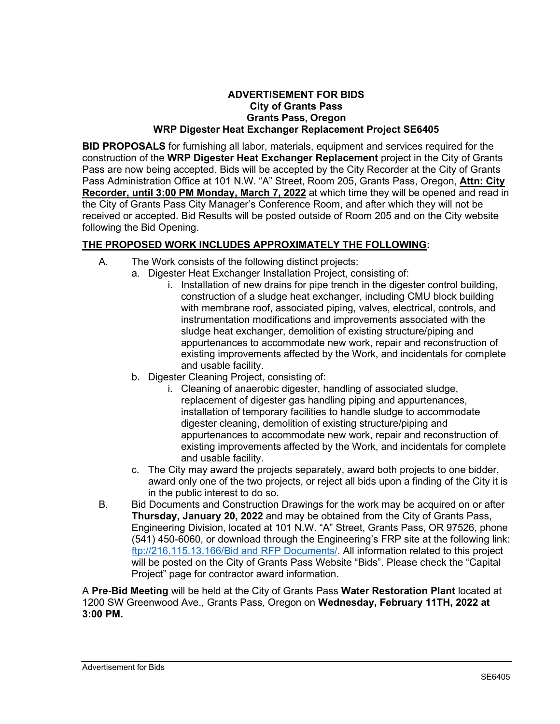## **ADVERTISEMENT FOR BIDS City of Grants Pass Grants Pass, Oregon WRP Digester Heat Exchanger Replacement Project SE6405**

**BID PROPOSALS** for furnishing all labor, materials, equipment and services required for the construction of the **WRP Digester Heat Exchanger Replacement** project in the City of Grants Pass are now being accepted. Bids will be accepted by the City Recorder at the City of Grants Pass Administration Office at 101 N.W. "A" Street, Room 205, Grants Pass, Oregon, **Attn: City Recorder, until 3:00 PM Monday, March 7, 2022** at which time they will be opened and read in the City of Grants Pass City Manager's Conference Room, and after which they will not be received or accepted. Bid Results will be posted outside of Room 205 and on the City website following the Bid Opening.

## **THE PROPOSED WORK INCLUDES APPROXIMATELY THE FOLLOWING:**

- A. The Work consists of the following distinct projects:
	- a. Digester Heat Exchanger Installation Project, consisting of:
		- i. Installation of new drains for pipe trench in the digester control building, construction of a sludge heat exchanger, including CMU block building with membrane roof, associated piping, valves, electrical, controls, and instrumentation modifications and improvements associated with the sludge heat exchanger, demolition of existing structure/piping and appurtenances to accommodate new work, repair and reconstruction of existing improvements affected by the Work, and incidentals for complete and usable facility.
	- b. Digester Cleaning Project, consisting of:
		- i. Cleaning of anaerobic digester, handling of associated sludge, replacement of digester gas handling piping and appurtenances, installation of temporary facilities to handle sludge to accommodate digester cleaning, demolition of existing structure/piping and appurtenances to accommodate new work, repair and reconstruction of existing improvements affected by the Work, and incidentals for complete and usable facility.
	- c. The City may award the projects separately, award both projects to one bidder, award only one of the two projects, or reject all bids upon a finding of the City it is in the public interest to do so.
- B. Bid Documents and Construction Drawings for the work may be acquired on or after **Thursday, January 20, 2022** and may be obtained from the City of Grants Pass, Engineering Division, located at 101 N.W. "A" Street, Grants Pass, OR 97526, phone (541) 450-6060, or download through the Engineering's FRP site at the following link: [ftp://216.115.13.166/Bid and RFP Documents/.](ftp://216.115.13.166/Bid%20and%20RFP%20Documents/) All information related to this project will be posted on the City of Grants Pass Website "Bids". Please check the "Capital Project" page for contractor award information.

A **Pre-Bid Meeting** will be held at the City of Grants Pass **Water Restoration Plant** located at 1200 SW Greenwood Ave., Grants Pass, Oregon on **Wednesday, February 11TH, 2022 at 3:00 PM.**